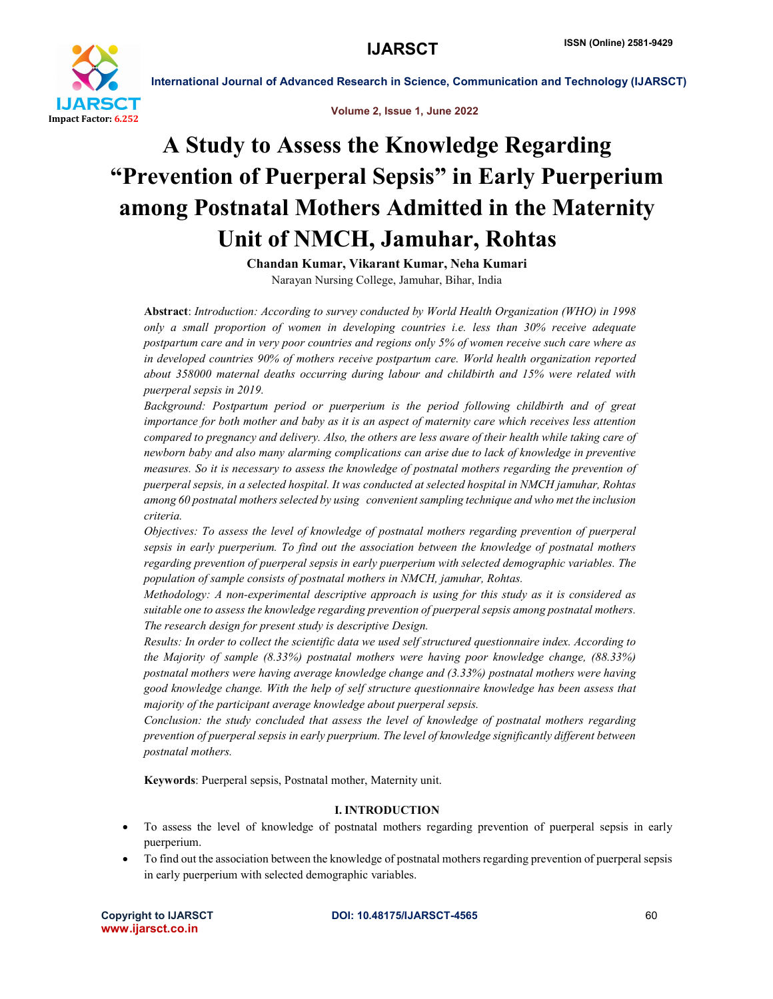



# A Study to Assess the Knowledge Regarding "Prevention of Puerperal Sepsis" in Early Puerperium among Postnatal Mothers Admitted in the Maternity Unit of NMCH, Jamuhar, Rohtas

Chandan Kumar, Vikarant Kumar, Neha Kumari Narayan Nursing College, Jamuhar, Bihar, India

Abstract: *Introduction: According to survey conducted by World Health Organization (WHO) in 1998 only a small proportion of women in developing countries i.e. less than 30% receive adequate postpartum care and in very poor countries and regions only 5% of women receive such care where as in developed countries 90% of mothers receive postpartum care. World health organization reported about 358000 maternal deaths occurring during labour and childbirth and 15% were related with puerperal sepsis in 2019.* 

*Background: Postpartum period or puerperium is the period following childbirth and of great importance for both mother and baby as it is an aspect of maternity care which receives less attention compared to pregnancy and delivery. Also, the others are less aware of their health while taking care of newborn baby and also many alarming complications can arise due to lack of knowledge in preventive measures. So it is necessary to assess the knowledge of postnatal mothers regarding the prevention of puerperal sepsis, in a selected hospital. It was conducted at selected hospital in NMCH jamuhar, Rohtas among 60 postnatal mothers selected by using convenient sampling technique and who met the inclusion criteria.* 

*Objectives: To assess the level of knowledge of postnatal mothers regarding prevention of puerperal sepsis in early puerperium. To find out the association between the knowledge of postnatal mothers regarding prevention of puerperal sepsis in early puerperium with selected demographic variables. The population of sample consists of postnatal mothers in NMCH, jamuhar, Rohtas.* 

*Methodology: A non-experimental descriptive approach is using for this study as it is considered as suitable one to assess the knowledge regarding prevention of puerperal sepsis among postnatal mothers. The research design for present study is descriptive Design.* 

*Results: In order to collect the scientific data we used self structured questionnaire index. According to the Majority of sample (8.33%) postnatal mothers were having poor knowledge change, (88.33%) postnatal mothers were having average knowledge change and (3.33%) postnatal mothers were having good knowledge change. With the help of self structure questionnaire knowledge has been assess that majority of the participant average knowledge about puerperal sepsis.* 

*Conclusion: the study concluded that assess the level of knowledge of postnatal mothers regarding prevention of puerperal sepsis in early puerprium. The level of knowledge significantly different between postnatal mothers.*

Keywords: Puerperal sepsis, Postnatal mother, Maternity unit.

### I. INTRODUCTION

- To assess the level of knowledge of postnatal mothers regarding prevention of puerperal sepsis in early puerperium.
- To find out the association between the knowledge of postnatal mothers regarding prevention of puerperal sepsis in early puerperium with selected demographic variables.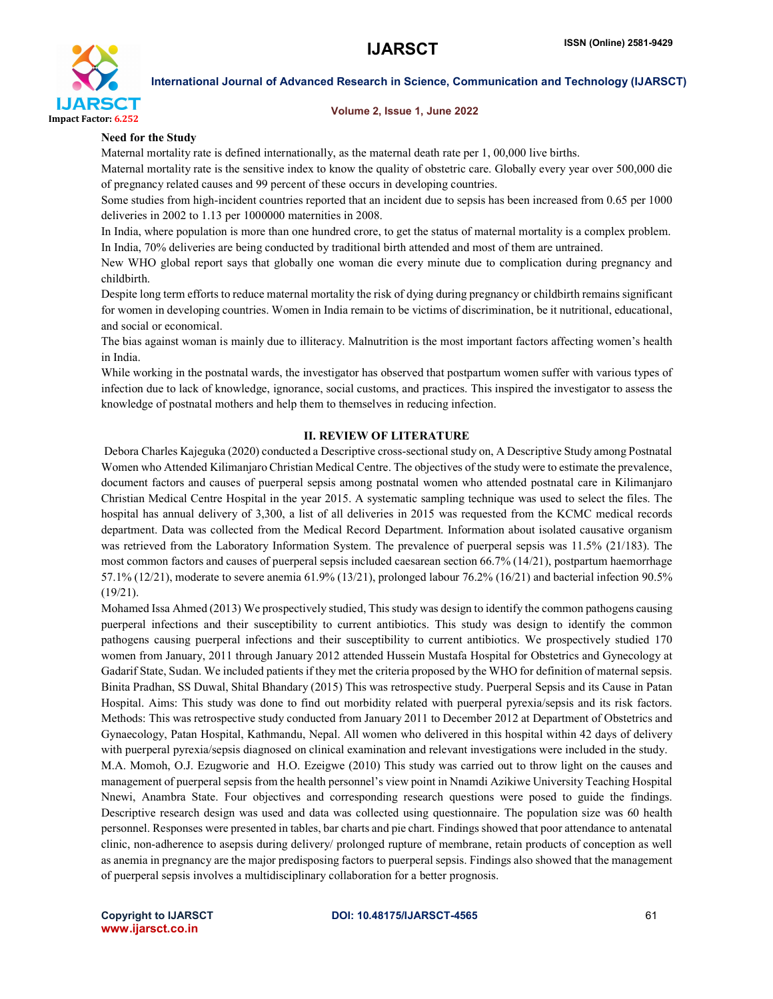

### Volume 2, Issue 1, June 2022

### Need for the Study

Maternal mortality rate is defined internationally, as the maternal death rate per 1, 00,000 live births.

Maternal mortality rate is the sensitive index to know the quality of obstetric care. Globally every year over 500,000 die of pregnancy related causes and 99 percent of these occurs in developing countries.

Some studies from high-incident countries reported that an incident due to sepsis has been increased from 0.65 per 1000 deliveries in 2002 to 1.13 per 1000000 maternities in 2008.

In India, where population is more than one hundred crore, to get the status of maternal mortality is a complex problem. In India, 70% deliveries are being conducted by traditional birth attended and most of them are untrained.

New WHO global report says that globally one woman die every minute due to complication during pregnancy and childbirth.

Despite long term efforts to reduce maternal mortality the risk of dying during pregnancy or childbirth remains significant for women in developing countries. Women in India remain to be victims of discrimination, be it nutritional, educational, and social or economical.

The bias against woman is mainly due to illiteracy. Malnutrition is the most important factors affecting women's health in India.

While working in the postnatal wards, the investigator has observed that postpartum women suffer with various types of infection due to lack of knowledge, ignorance, social customs, and practices. This inspired the investigator to assess the knowledge of postnatal mothers and help them to themselves in reducing infection.

### II. REVIEW OF LITERATURE

Debora Charles Kajeguka (2020) conducted a Descriptive cross-sectional study on, A Descriptive Study among Postnatal Women who Attended Kilimanjaro Christian Medical Centre. The objectives of the study were to estimate the prevalence, document factors and causes of puerperal sepsis among postnatal women who attended postnatal care in Kilimanjaro Christian Medical Centre Hospital in the year 2015. A systematic sampling technique was used to select the files. The hospital has annual delivery of 3,300, a list of all deliveries in 2015 was requested from the KCMC medical records department. Data was collected from the Medical Record Department. Information about isolated causative organism was retrieved from the Laboratory Information System. The prevalence of puerperal sepsis was 11.5% (21/183). The most common factors and causes of puerperal sepsis included caesarean section 66.7% (14/21), postpartum haemorrhage 57.1% (12/21), moderate to severe anemia 61.9% (13/21), prolonged labour 76.2% (16/21) and bacterial infection 90.5% (19/21).

Mohamed Issa Ahmed (2013) We prospectively studied, This study was design to identify the common pathogens causing puerperal infections and their susceptibility to current antibiotics. This study was design to identify the common pathogens causing puerperal infections and their susceptibility to current antibiotics. We prospectively studied 170 women from January, 2011 through January 2012 attended Hussein Mustafa Hospital for Obstetrics and Gynecology at Gadarif State, Sudan. We included patients if they met the criteria proposed by the WHO for definition of maternal sepsis. Binita Pradhan, SS Duwal, Shital Bhandary (2015) This was retrospective study. Puerperal Sepsis and its Cause in Patan Hospital. Aims: This study was done to find out morbidity related with puerperal pyrexia/sepsis and its risk factors. Methods: This was retrospective study conducted from January 2011 to December 2012 at Department of Obstetrics and Gynaecology, Patan Hospital, Kathmandu, Nepal. All women who delivered in this hospital within 42 days of delivery with puerperal pyrexia/sepsis diagnosed on clinical examination and relevant investigations were included in the study. M.A. Momoh, O.J. Ezugworie and H.O. Ezeigwe (2010) This study was carried out to throw light on the causes and management of puerperal sepsis from the health personnel's view point in Nnamdi Azikiwe University Teaching Hospital Nnewi, Anambra State. Four objectives and corresponding research questions were posed to guide the findings. Descriptive research design was used and data was collected using questionnaire. The population size was 60 health personnel. Responses were presented in tables, bar charts and pie chart. Findings showed that poor attendance to antenatal clinic, non-adherence to asepsis during delivery/ prolonged rupture of membrane, retain products of conception as well as anemia in pregnancy are the major predisposing factors to puerperal sepsis. Findings also showed that the management of puerperal sepsis involves a multidisciplinary collaboration for a better prognosis.

www.ijarsct.co.in

Copyright to IJARSCT **DOI: 10.48175/IJARSCT-4565** 61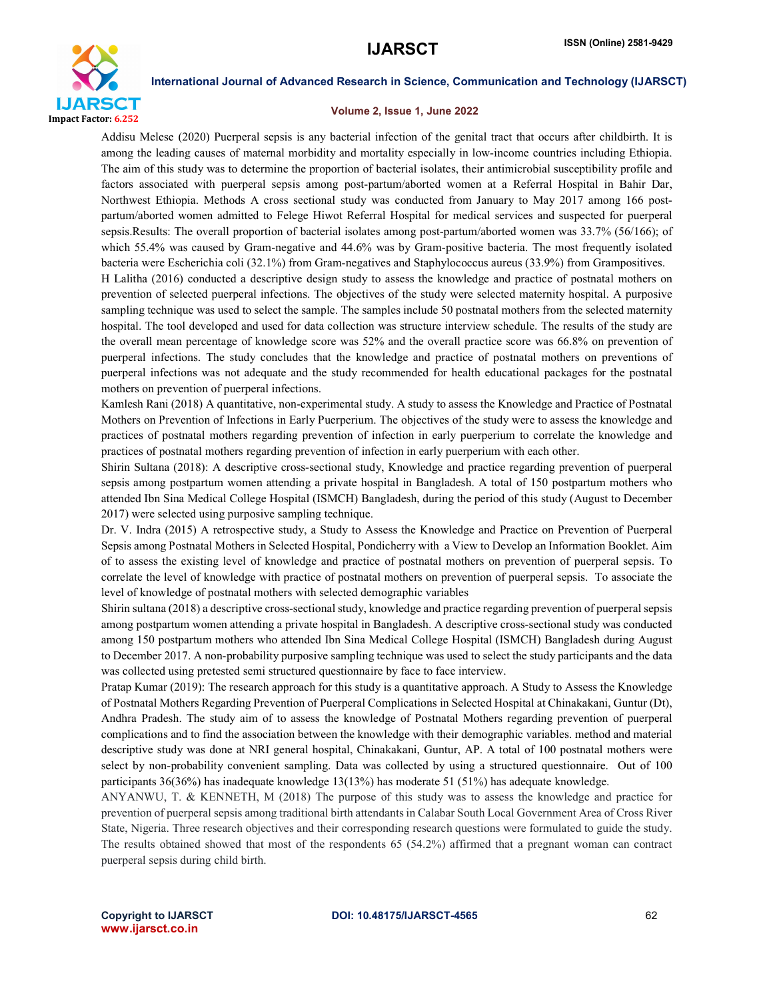

### Volume 2, Issue 1, June 2022

Addisu Melese (2020) Puerperal sepsis is any bacterial infection of the genital tract that occurs after childbirth. It is among the leading causes of maternal morbidity and mortality especially in low-income countries including Ethiopia. The aim of this study was to determine the proportion of bacterial isolates, their antimicrobial susceptibility profile and factors associated with puerperal sepsis among post-partum/aborted women at a Referral Hospital in Bahir Dar, Northwest Ethiopia. Methods A cross sectional study was conducted from January to May 2017 among 166 postpartum/aborted women admitted to Felege Hiwot Referral Hospital for medical services and suspected for puerperal sepsis.Results: The overall proportion of bacterial isolates among post-partum/aborted women was 33.7% (56/166); of which 55.4% was caused by Gram-negative and 44.6% was by Gram-positive bacteria. The most frequently isolated bacteria were Escherichia coli (32.1%) from Gram-negatives and Staphylococcus aureus (33.9%) from Grampositives.

H Lalitha (2016) conducted a descriptive design study to assess the knowledge and practice of postnatal mothers on prevention of selected puerperal infections. The objectives of the study were selected maternity hospital. A purposive sampling technique was used to select the sample. The samples include 50 postnatal mothers from the selected maternity hospital. The tool developed and used for data collection was structure interview schedule. The results of the study are the overall mean percentage of knowledge score was 52% and the overall practice score was 66.8% on prevention of puerperal infections. The study concludes that the knowledge and practice of postnatal mothers on preventions of puerperal infections was not adequate and the study recommended for health educational packages for the postnatal mothers on prevention of puerperal infections.

Kamlesh Rani (2018) A quantitative, non-experimental study. A study to assess the Knowledge and Practice of Postnatal Mothers on Prevention of Infections in Early Puerperium. The objectives of the study were to assess the knowledge and practices of postnatal mothers regarding prevention of infection in early puerperium to correlate the knowledge and practices of postnatal mothers regarding prevention of infection in early puerperium with each other.

Shirin Sultana (2018): A descriptive cross-sectional study, Knowledge and practice regarding prevention of puerperal sepsis among postpartum women attending a private hospital in Bangladesh. A total of 150 postpartum mothers who attended Ibn Sina Medical College Hospital (ISMCH) Bangladesh, during the period of this study (August to December 2017) were selected using purposive sampling technique.

Dr. V. Indra (2015) A retrospective study, a Study to Assess the Knowledge and Practice on Prevention of Puerperal Sepsis among Postnatal Mothers in Selected Hospital, Pondicherry with a View to Develop an Information Booklet. Aim of to assess the existing level of knowledge and practice of postnatal mothers on prevention of puerperal sepsis. To correlate the level of knowledge with practice of postnatal mothers on prevention of puerperal sepsis. To associate the level of knowledge of postnatal mothers with selected demographic variables

Shirin sultana (2018) a descriptive cross-sectional study, knowledge and practice regarding prevention of puerperal sepsis among postpartum women attending a private hospital in Bangladesh. A descriptive cross-sectional study was conducted among 150 postpartum mothers who attended Ibn Sina Medical College Hospital (ISMCH) Bangladesh during August to December 2017. A non-probability purposive sampling technique was used to select the study participants and the data was collected using pretested semi structured questionnaire by face to face interview.

Pratap Kumar (2019): The research approach for this study is a quantitative approach. A Study to Assess the Knowledge of Postnatal Mothers Regarding Prevention of Puerperal Complications in Selected Hospital at Chinakakani, Guntur (Dt), Andhra Pradesh. The study aim of to assess the knowledge of Postnatal Mothers regarding prevention of puerperal complications and to find the association between the knowledge with their demographic variables. method and material descriptive study was done at NRI general hospital, Chinakakani, Guntur, AP. A total of 100 postnatal mothers were select by non-probability convenient sampling. Data was collected by using a structured questionnaire. Out of 100 participants 36(36%) has inadequate knowledge 13(13%) has moderate 51 (51%) has adequate knowledge.

ANYANWU, T. & KENNETH, M (2018) The purpose of this study was to assess the knowledge and practice for prevention of puerperal sepsis among traditional birth attendants in Calabar South Local Government Area of Cross River State, Nigeria. Three research objectives and their corresponding research questions were formulated to guide the study. The results obtained showed that most of the respondents 65 (54.2%) affirmed that a pregnant woman can contract puerperal sepsis during child birth.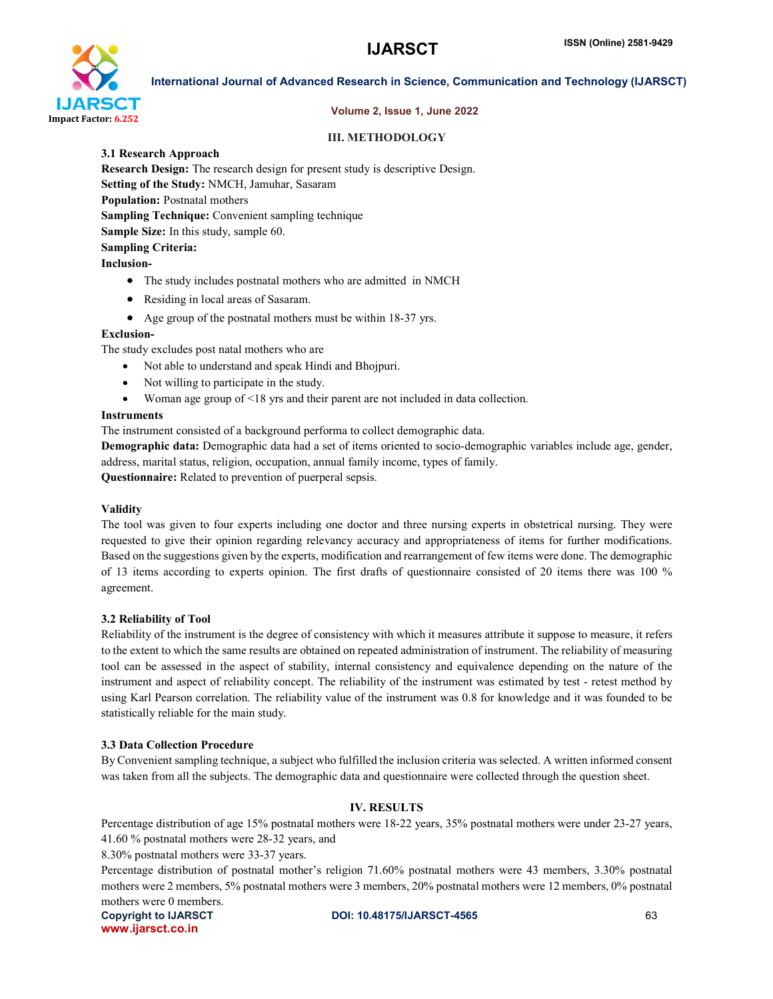

### Volume 2, Issue 1, June 2022

### III. METHODOLOGY

3.1 Research Approach

Research Design: The research design for present study is descriptive Design. Setting of the Study: NMCH, Jamuhar, Sasaram Population: Postnatal mothers Sampling Technique: Convenient sampling technique Sample Size: In this study, sample 60. Sampling Criteria: Inclusion-

- The study includes postnatal mothers who are admitted in NMCH
- Residing in local areas of Sasaram.
- Age group of the postnatal mothers must be within 18-37 yrs.

### Exclusion-

The study excludes post natal mothers who are

- Not able to understand and speak Hindi and Bhojpuri.
- Not willing to participate in the study.
- Woman age group of <18 yrs and their parent are not included in data collection.

### Instruments

The instrument consisted of a background performa to collect demographic data.

Demographic data: Demographic data had a set of items oriented to socio-demographic variables include age, gender, address, marital status, religion, occupation, annual family income, types of family.

Questionnaire: Related to prevention of puerperal sepsis.

### Validity

The tool was given to four experts including one doctor and three nursing experts in obstetrical nursing. They were requested to give their opinion regarding relevancy accuracy and appropriateness of items for further modifications. Based on the suggestions given by the experts, modification and rearrangement of few items were done. The demographic of 13 items according to experts opinion. The first drafts of questionnaire consisted of 20 items there was 100 % agreement.

### 3.2 Reliability of Tool

Reliability of the instrument is the degree of consistency with which it measures attribute it suppose to measure, it refers to the extent to which the same results are obtained on repeated administration of instrument. The reliability of measuring tool can be assessed in the aspect of stability, internal consistency and equivalence depending on the nature of the instrument and aspect of reliability concept. The reliability of the instrument was estimated by test - retest method by using Karl Pearson correlation. The reliability value of the instrument was 0.8 for knowledge and it was founded to be statistically reliable for the main study.

### 3.3 Data Collection Procedure

By Convenient sampling technique, a subject who fulfilled the inclusion criteria was selected. A written informed consent was taken from all the subjects. The demographic data and questionnaire were collected through the question sheet.

### IV. RESULTS

Percentage distribution of age 15% postnatal mothers were 18-22 years, 35% postnatal mothers were under 23-27 years, 41.60 % postnatal mothers were 28-32 years, and

8.30% postnatal mothers were 33-37 years.

Percentage distribution of postnatal mother's religion 71.60% postnatal mothers were 43 members, 3.30% postnatal mothers were 2 members, 5% postnatal mothers were 3 members, 20% postnatal mothers were 12 members, 0% postnatal mothers were 0 members.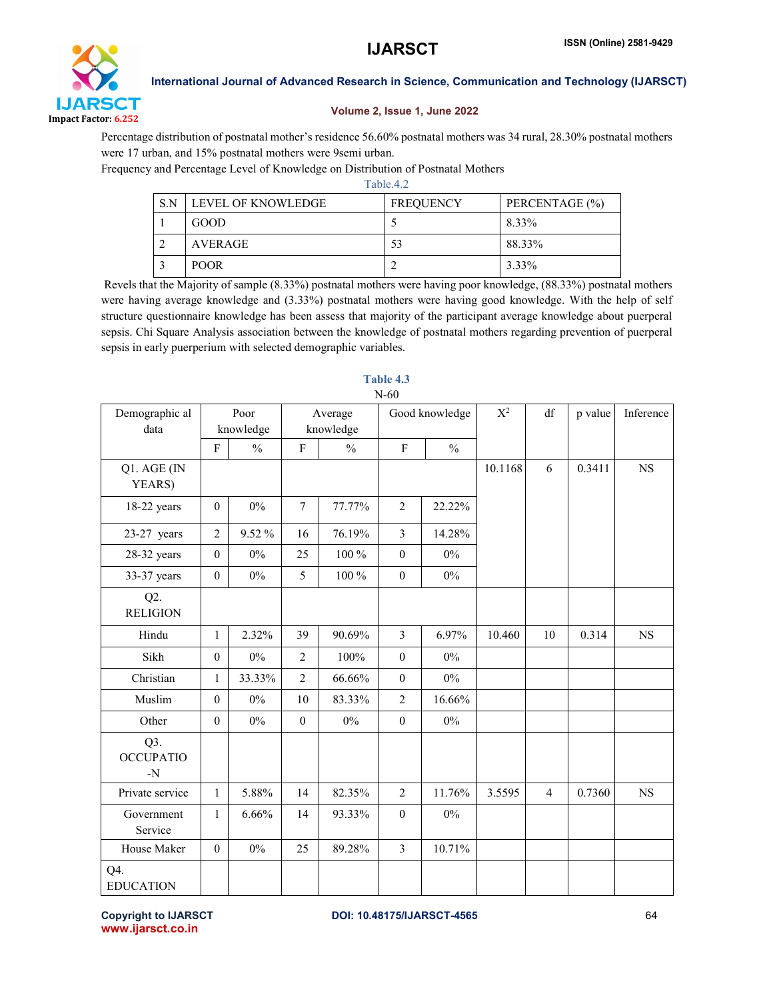

### Volume 2, Issue 1, June 2022

Percentage distribution of postnatal mother's residence 56.60% postnatal mothers was 34 rural, 28.30% postnatal mothers were 17 urban, and 15% postnatal mothers were 9semi urban.

Frequency and Percentage Level of Knowledge on Distribution of Postnatal Mothers

|  |     |                    | Table.4.2        |                |  |  |  |  |  |  |  |
|--|-----|--------------------|------------------|----------------|--|--|--|--|--|--|--|
|  | S.N | LEVEL OF KNOWLEDGE | <b>FREQUENCY</b> | PERCENTAGE (%) |  |  |  |  |  |  |  |
|  |     | GOOD               |                  | 8.33%          |  |  |  |  |  |  |  |
|  |     | <b>AVERAGE</b>     | 53               | 88.33%         |  |  |  |  |  |  |  |
|  |     | <b>POOR</b>        |                  | 3.33%          |  |  |  |  |  |  |  |

Revels that the Majority of sample (8.33%) postnatal mothers were having poor knowledge, (88.33%) postnatal mothers were having average knowledge and (3.33%) postnatal mothers were having good knowledge. With the help of self structure questionnaire knowledge has been assess that majority of the participant average knowledge about puerperal sepsis. Chi Square Analysis association between the knowledge of postnatal mothers regarding prevention of puerperal sepsis in early puerperium with selected demographic variables.

| Demographic al<br>data          | Poor<br>knowledge |               | Average<br>knowledge |               | Good knowledge   |               | $X^2$   | df             | p value | Inference   |
|---------------------------------|-------------------|---------------|----------------------|---------------|------------------|---------------|---------|----------------|---------|-------------|
|                                 | $\mathbf{F}$      | $\frac{0}{0}$ | $\mathbf F$          | $\frac{0}{0}$ | $\mathbf F$      | $\frac{0}{0}$ |         |                |         |             |
| Q1. AGE (IN<br>YEARS)           |                   |               |                      |               |                  |               | 10.1168 | 6              | 0.3411  | $_{\rm NS}$ |
| $18-22$ years                   | $\boldsymbol{0}$  | $0\%$         | $7\phantom{.0}$      | 77.77%        | $\overline{2}$   | 22.22%        |         |                |         |             |
| $23-27$ years                   | $\overline{2}$    | 9.52 %        | 16                   | 76.19%        | $\overline{3}$   | 14.28%        |         |                |         |             |
| 28-32 years                     | $\boldsymbol{0}$  | $0\%$         | 25                   | $100\,\%$     | $\boldsymbol{0}$ | $0\%$         |         |                |         |             |
| 33-37 years                     | $\boldsymbol{0}$  | $0\%$         | 5                    | 100 %         | $\boldsymbol{0}$ | $0\%$         |         |                |         |             |
| Q2.<br><b>RELIGION</b>          |                   |               |                      |               |                  |               |         |                |         |             |
| Hindu                           | $\mathbf{1}$      | 2.32%         | 39                   | 90.69%        | $\overline{3}$   | 6.97%         | 10.460  | 10             | 0.314   | $_{\rm NS}$ |
| Sikh                            | $\mathbf{0}$      | $0\%$         | $\overline{2}$       | 100%          | $\boldsymbol{0}$ | $0\%$         |         |                |         |             |
| Christian                       | $\mathbf{1}$      | 33.33%        | $\overline{2}$       | 66.66%        | $\boldsymbol{0}$ | $0\%$         |         |                |         |             |
| Muslim                          | $\boldsymbol{0}$  | $0\%$         | 10                   | 83.33%        | $\overline{2}$   | 16.66%        |         |                |         |             |
| Other                           | $\boldsymbol{0}$  | $0\%$         | $\boldsymbol{0}$     | $0\%$         | $\mathbf{0}$     | $0\%$         |         |                |         |             |
| Q3.<br><b>OCCUPATIO</b><br>$-N$ |                   |               |                      |               |                  |               |         |                |         |             |
| Private service                 | $\mathbf{1}$      | 5.88%         | 14                   | 82.35%        | $\overline{2}$   | 11.76%        | 3.5595  | $\overline{4}$ | 0.7360  | $_{\rm NS}$ |
| Government<br>Service           | $\mathbf{1}$      | 6.66%         | 14                   | 93.33%        | $\boldsymbol{0}$ | $0\%$         |         |                |         |             |
| House Maker                     | $\boldsymbol{0}$  | $0\%$         | 25                   | 89.28%        | $\overline{3}$   | 10.71%        |         |                |         |             |
| Q4.<br><b>EDUCATION</b>         |                   |               |                      |               |                  |               |         |                |         |             |

### Table 4.3 N-60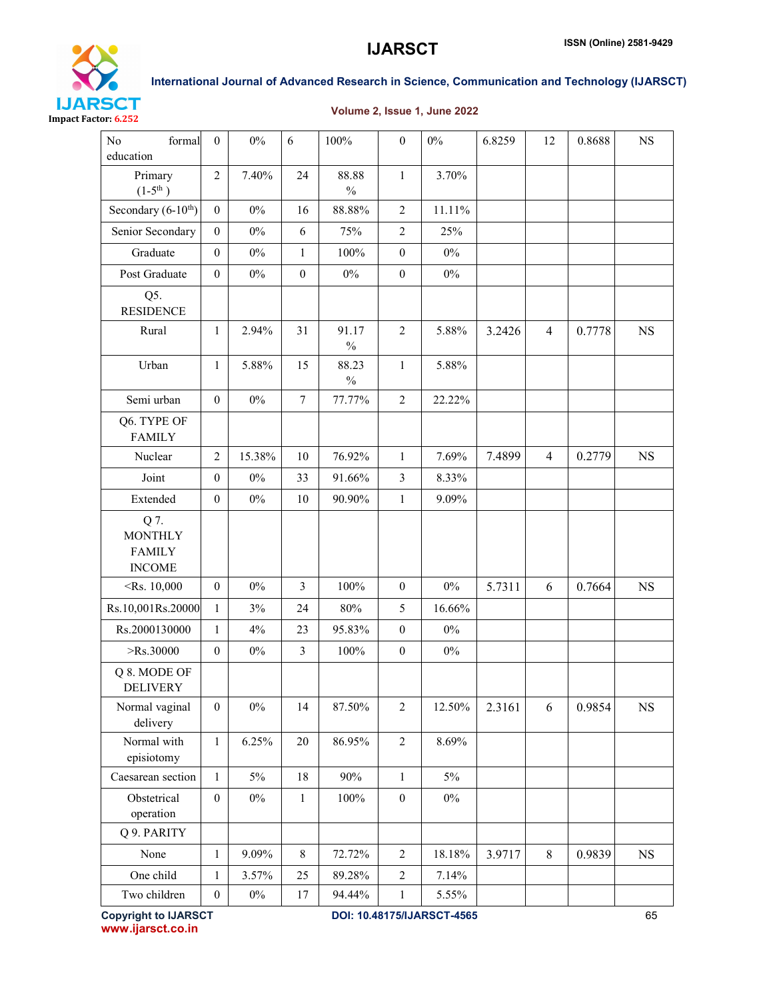

### Volume 2, Issue 1, June 2022

| N <sub>0</sub><br>formal<br>education                    | $\mathbf{0}$     | $0\%$  | 6                | 100%                   | $\boldsymbol{0}$ | $0\%$  | 6.8259 | 12             | 0.8688 | $_{\rm NS}$ |
|----------------------------------------------------------|------------------|--------|------------------|------------------------|------------------|--------|--------|----------------|--------|-------------|
| Primary<br>$(1-5^{th})$                                  | $\overline{2}$   | 7.40%  | 24               | 88.88<br>$\frac{0}{0}$ | $\mathbf{1}$     | 3.70%  |        |                |        |             |
| Secondary (6-10 <sup>th</sup> )                          | $\boldsymbol{0}$ | $0\%$  | 16               | 88.88%                 | $\overline{2}$   | 11.11% |        |                |        |             |
| Senior Secondary                                         | $\theta$         | $0\%$  | 6                | 75%                    | $\overline{2}$   | 25%    |        |                |        |             |
| Graduate                                                 | $\boldsymbol{0}$ | $0\%$  | $\mathbf{1}$     | 100%                   | $\boldsymbol{0}$ | $0\%$  |        |                |        |             |
| Post Graduate                                            | $\boldsymbol{0}$ | $0\%$  | $\boldsymbol{0}$ | $0\%$                  | $\boldsymbol{0}$ | $0\%$  |        |                |        |             |
| Q5.<br><b>RESIDENCE</b>                                  |                  |        |                  |                        |                  |        |        |                |        |             |
| Rural                                                    | 1                | 2.94%  | 31               | 91.17<br>$\%$          | $\overline{2}$   | 5.88%  | 3.2426 | $\overline{4}$ | 0.7778 | <b>NS</b>   |
| Urban                                                    | $\mathbf{1}$     | 5.88%  | 15               | 88.23<br>$\%$          | $\mathbf{1}$     | 5.88%  |        |                |        |             |
| Semi urban                                               | $\mathbf{0}$     | $0\%$  | $\boldsymbol{7}$ | 77.77%                 | $\overline{2}$   | 22.22% |        |                |        |             |
| Q6. TYPE OF<br><b>FAMILY</b>                             |                  |        |                  |                        |                  |        |        |                |        |             |
| Nuclear                                                  | $\overline{2}$   | 15.38% | 10               | 76.92%                 | $\mathbf{1}$     | 7.69%  | 7.4899 | $\overline{4}$ | 0.2779 | <b>NS</b>   |
| Joint                                                    | $\boldsymbol{0}$ | $0\%$  | 33               | 91.66%                 | $\mathfrak{Z}$   | 8.33%  |        |                |        |             |
| Extended                                                 | $\boldsymbol{0}$ | $0\%$  | 10               | 90.90%                 | $\mathbf{1}$     | 9.09%  |        |                |        |             |
| Q 7.<br><b>MONTHLY</b><br><b>FAMILY</b><br><b>INCOME</b> |                  |        |                  |                        |                  |        |        |                |        |             |
| $\langle$ Rs. 10,000                                     | $\boldsymbol{0}$ | $0\%$  | $\overline{3}$   | 100%                   | $\boldsymbol{0}$ | $0\%$  | 5.7311 | 6              | 0.7664 | <b>NS</b>   |
| Rs.10,001Rs.20000                                        | $\mathbf{1}$     | 3%     | 24               | $80\%$                 | 5                | 16.66% |        |                |        |             |
| Rs.2000130000                                            | $\mathbf{1}$     | 4%     | 23               | 95.83%                 | $\boldsymbol{0}$ | $0\%$  |        |                |        |             |
| $>$ Rs.30000                                             | $\mathbf{0}$     | $0\%$  | $\mathfrak{Z}$   | $100\%$                | $\boldsymbol{0}$ | $0\%$  |        |                |        |             |
| Q 8. MODE OF<br><b>DELIVERY</b>                          |                  |        |                  |                        |                  |        |        |                |        |             |
| Normal vaginal<br>delivery                               | $\boldsymbol{0}$ | $0\%$  | 14               | 87.50%                 | $\sqrt{2}$       | 12.50% | 2.3161 | 6              | 0.9854 | $_{\rm NS}$ |
| Normal with<br>episiotomy                                | $\mathbf{1}$     | 6.25%  | 20               | 86.95%                 | $\sqrt{2}$       | 8.69%  |        |                |        |             |
| Caesarean section                                        | $\mathbf{1}$     | $5\%$  | 18               | 90%                    | $\mathbf{1}$     | $5\%$  |        |                |        |             |
| Obstetrical<br>operation                                 | $\boldsymbol{0}$ | $0\%$  | $\mathbf{1}$     | $100\%$                | $\boldsymbol{0}$ | $0\%$  |        |                |        |             |
| Q 9. PARITY                                              |                  |        |                  |                        |                  |        |        |                |        |             |
| None                                                     | $\mathbf{1}$     | 9.09%  | $\,8\,$          | 72.72%                 | $\overline{2}$   | 18.18% | 3.9717 | $8\,$          | 0.9839 | $_{\rm NS}$ |
| One child                                                | $\mathbf{1}$     | 3.57%  | 25               | 89.28%                 | $\sqrt{2}$       | 7.14%  |        |                |        |             |
| Two children                                             | $\boldsymbol{0}$ | $0\%$  | 17               | 94.44%                 | $\mathbf{1}$     | 5.55%  |        |                |        |             |

www.ijarsct.co.in

Copyright to IJARSCT **DOI: 10.48175/IJARSCT-4565** 65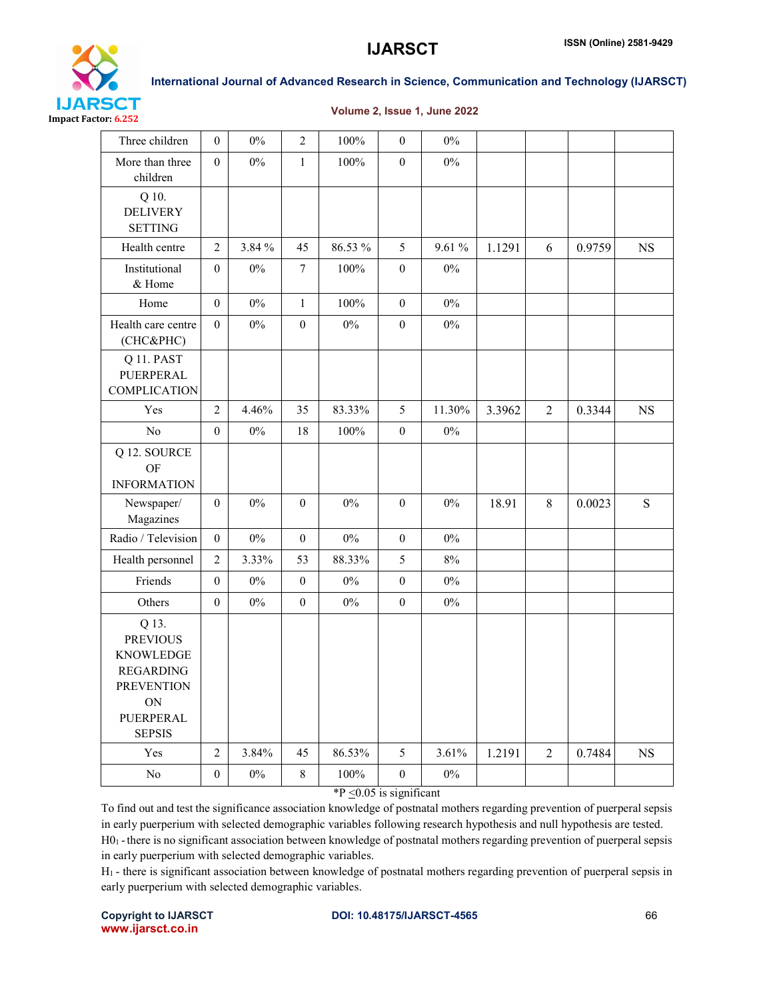

### Volume 2, Issue 1, June 2022

| Three children                                                                                                            | $\overline{0}$   | $0\%$  | $\overline{2}$   | 100%                             | $\boldsymbol{0}$        | $0\%$  |        |                  |        |             |
|---------------------------------------------------------------------------------------------------------------------------|------------------|--------|------------------|----------------------------------|-------------------------|--------|--------|------------------|--------|-------------|
| More than three<br>children                                                                                               | $\boldsymbol{0}$ | $0\%$  | $\mathbf{1}$     | 100%                             | $\boldsymbol{0}$        | $0\%$  |        |                  |        |             |
| Q 10.<br><b>DELIVERY</b><br><b>SETTING</b>                                                                                |                  |        |                  |                                  |                         |        |        |                  |        |             |
| Health centre                                                                                                             | $\overline{2}$   | 3.84 % | 45               | 86.53 %                          | 5                       | 9.61 % | 1.1291 | 6                | 0.9759 | <b>NS</b>   |
| Institutional<br>& Home                                                                                                   | $\boldsymbol{0}$ | $0\%$  | $\tau$           | $100\%$                          | $\boldsymbol{0}$        | $0\%$  |        |                  |        |             |
| Home                                                                                                                      | $\boldsymbol{0}$ | $0\%$  | $\mathbf{1}$     | 100%                             | $\mathbf{0}$            | $0\%$  |        |                  |        |             |
| Health care centre<br>(CHC&PHC)                                                                                           | $\overline{0}$   | $0\%$  | $\boldsymbol{0}$ | $0\%$                            | $\boldsymbol{0}$        | $0\%$  |        |                  |        |             |
| Q 11. PAST<br>PUERPERAL<br><b>COMPLICATION</b>                                                                            |                  |        |                  |                                  |                         |        |        |                  |        |             |
| Yes                                                                                                                       | $\overline{2}$   | 4.46%  | 35               | 83.33%                           | 5                       | 11.30% | 3.3962 | $\boldsymbol{2}$ | 0.3344 | $_{\rm NS}$ |
| $\rm No$                                                                                                                  | $\mathbf{0}$     | $0\%$  | 18               | $100\%$                          | $\boldsymbol{0}$        | $0\%$  |        |                  |        |             |
| Q 12. SOURCE<br><b>OF</b><br><b>INFORMATION</b>                                                                           |                  |        |                  |                                  |                         |        |        |                  |        |             |
| Newspaper/<br>Magazines                                                                                                   | $\mathbf{0}$     | $0\%$  | $\boldsymbol{0}$ | $0\%$                            | $\mathbf{0}$            | $0\%$  | 18.91  | 8                | 0.0023 | S           |
| Radio / Television                                                                                                        | $\overline{0}$   | $0\%$  | $\boldsymbol{0}$ | $0\%$                            | $\boldsymbol{0}$        | $0\%$  |        |                  |        |             |
| Health personnel                                                                                                          | $\overline{2}$   | 3.33%  | 53               | 88.33%                           | 5                       | $8\%$  |        |                  |        |             |
| Friends                                                                                                                   | $\boldsymbol{0}$ | $0\%$  | $\boldsymbol{0}$ | $0\%$                            | $\boldsymbol{0}$        | $0\%$  |        |                  |        |             |
| Others                                                                                                                    | $\boldsymbol{0}$ | $0\%$  | $\boldsymbol{0}$ | $0\%$                            | $\boldsymbol{0}$        | $0\%$  |        |                  |        |             |
| Q 13.<br><b>PREVIOUS</b><br><b>KNOWLEDGE</b><br><b>REGARDING</b><br><b>PREVENTION</b><br>ON<br>PUERPERAL<br><b>SEPSIS</b> |                  |        |                  |                                  |                         |        |        |                  |        |             |
| Yes                                                                                                                       | $\overline{2}$   | 3.84%  | 45               | 86.53%                           | 5                       | 3.61%  | 1.2191 | $\overline{2}$   | 0.7484 | <b>NS</b>   |
| No                                                                                                                        | $\mathbf{0}$     | $0\%$  | 8                | 100%<br>$*D \geq 0$ $0.5$ is sim | $\boldsymbol{0}$<br>sc. | $0\%$  |        |                  |        |             |

 $^{\ast}P \leq 0.05$  is significant

To find out and test the significance association knowledge of postnatal mothers regarding prevention of puerperal sepsis in early puerperium with selected demographic variables following research hypothesis and null hypothesis are tested. H01 -there is no significant association between knowledge of postnatal mothers regarding prevention of puerperal sepsis in early puerperium with selected demographic variables.

H1 - there is significant association between knowledge of postnatal mothers regarding prevention of puerperal sepsis in early puerperium with selected demographic variables.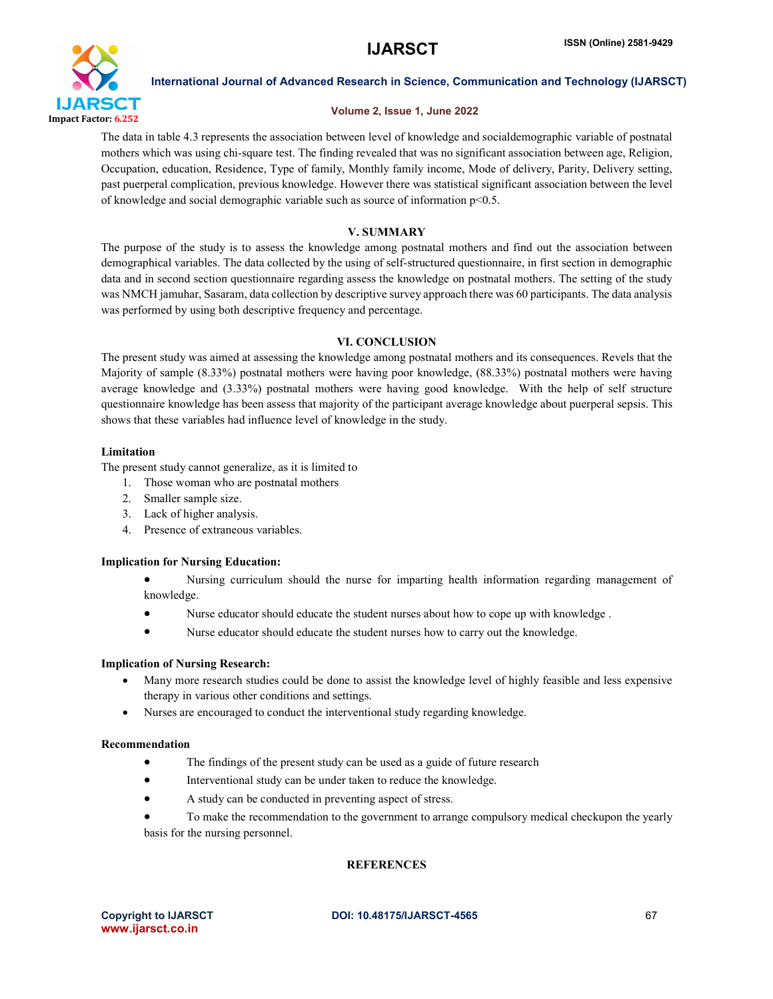

### Volume 2, Issue 1, June 2022

The data in table 4.3 represents the association between level of knowledge and socialdemographic variable of postnatal mothers which was using chi-square test. The finding revealed that was no significant association between age, Religion, Occupation, education, Residence, Type of family, Monthly family income, Mode of delivery, Parity, Delivery setting, past puerperal complication, previous knowledge. However there was statistical significant association between the level of knowledge and social demographic variable such as source of information p<0.5.

### V. SUMMARY

The purpose of the study is to assess the knowledge among postnatal mothers and find out the association between demographical variables. The data collected by the using of self-structured questionnaire, in first section in demographic data and in second section questionnaire regarding assess the knowledge on postnatal mothers. The setting of the study was NMCH jamuhar, Sasaram, data collection by descriptive survey approach there was 60 participants. The data analysis was performed by using both descriptive frequency and percentage.

### VI. CONCLUSION

The present study was aimed at assessing the knowledge among postnatal mothers and its consequences. Revels that the Majority of sample (8.33%) postnatal mothers were having poor knowledge, (88.33%) postnatal mothers were having average knowledge and (3.33%) postnatal mothers were having good knowledge. With the help of self structure questionnaire knowledge has been assess that majority of the participant average knowledge about puerperal sepsis. This shows that these variables had influence level of knowledge in the study.

### Limitation

The present study cannot generalize, as it is limited to

- 1. Those woman who are postnatal mothers
- 2. Smaller sample size.
- 3. Lack of higher analysis.
- 4. Presence of extraneous variables.

### Implication for Nursing Education:

 Nursing curriculum should the nurse for imparting health information regarding management of knowledge.

- Nurse educator should educate the student nurses about how to cope up with knowledge .
- Nurse educator should educate the student nurses how to carry out the knowledge.

### Implication of Nursing Research:

- Many more research studies could be done to assist the knowledge level of highly feasible and less expensive therapy in various other conditions and settings.
- Nurses are encouraged to conduct the interventional study regarding knowledge.

### Recommendation

- The findings of the present study can be used as a guide of future research
- Interventional study can be under taken to reduce the knowledge.
- A study can be conducted in preventing aspect of stress.
- To make the recommendation to the government to arrange compulsory medical checkupon the yearly basis for the nursing personnel.

### **REFERENCES**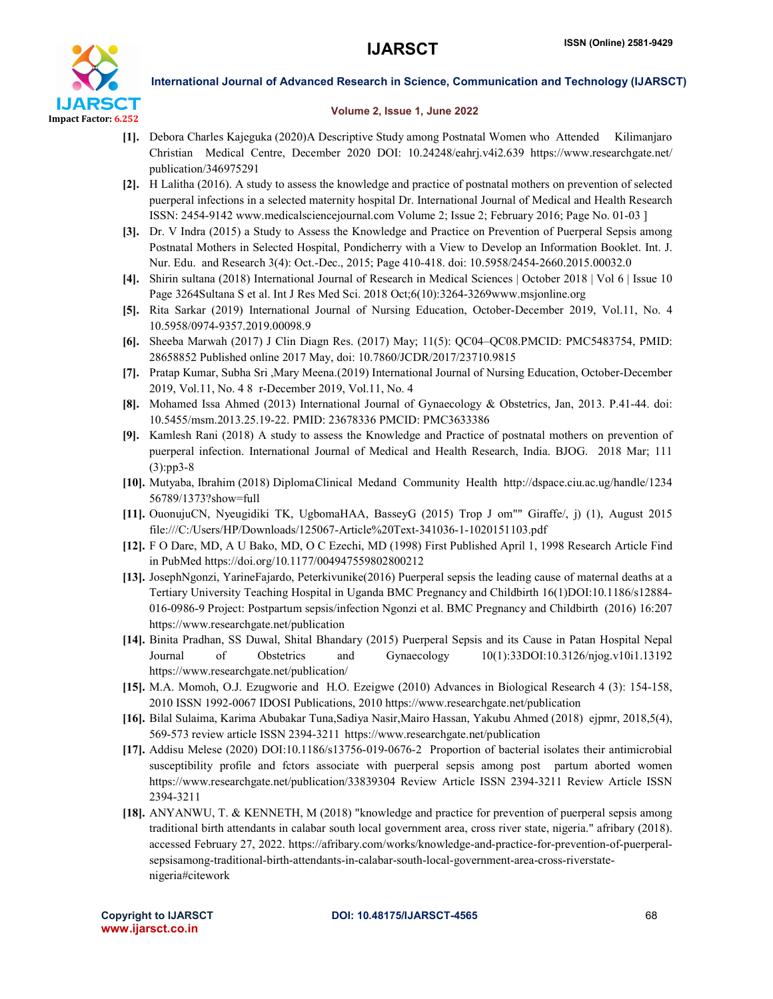

### Volume 2, Issue 1, June 2022

- [1]. Debora Charles Kajeguka (2020)A Descriptive Study among Postnatal Women who Attended Kilimanjaro Christian Medical Centre, December 2020 DOI: 10.24248/eahrj.v4i2.639 https://www.researchgate.net/ publication/346975291
- [2]. H Lalitha (2016). A study to assess the knowledge and practice of postnatal mothers on prevention of selected puerperal infections in a selected maternity hospital Dr. International Journal of Medical and Health Research ISSN: 2454-9142 www.medicalsciencejournal.com Volume 2; Issue 2; February 2016; Page No. 01-03 ]
- [3]. Dr. V Indra (2015) a Study to Assess the Knowledge and Practice on Prevention of Puerperal Sepsis among Postnatal Mothers in Selected Hospital, Pondicherry with a View to Develop an Information Booklet. Int. J. Nur. Edu. and Research 3(4): Oct.-Dec., 2015; Page 410-418. doi: 10.5958/2454-2660.2015.00032.0
- [4]. Shirin sultana (2018) International Journal of Research in Medical Sciences | October 2018 | Vol 6 | Issue 10 Page 3264Sultana S et al. Int J Res Med Sci. 2018 Oct;6(10):3264-3269www.msjonline.org
- [5]. Rita Sarkar (2019) International Journal of Nursing Education, October-December 2019, Vol.11, No. 4 10.5958/0974-9357.2019.00098.9
- [6]. Sheeba Marwah (2017) J Clin Diagn Res. (2017) May; 11(5): QC04–QC08.PMCID: PMC5483754, PMID: 28658852 Published online 2017 May, doi: 10.7860/JCDR/2017/23710.9815
- [7]. Pratap Kumar, Subha Sri ,Mary Meena.(2019) International Journal of Nursing Education, October-December 2019, Vol.11, No. 4 8 r-December 2019, Vol.11, No. 4
- [8]. Mohamed Issa Ahmed (2013) International Journal of Gynaecology & Obstetrics, Jan, 2013. P.41-44. doi: 10.5455/msm.2013.25.19-22. PMID: 23678336 PMCID: PMC3633386
- [9]. Kamlesh Rani (2018) A study to assess the Knowledge and Practice of postnatal mothers on prevention of puerperal infection. International Journal of Medical and Health Research, India. BJOG. 2018 Mar; 111 (3):pp3-8
- [10]. Mutyaba, Ibrahim (2018) DiplomaClinical Medand Community Health http://dspace.ciu.ac.ug/handle/1234 56789/1373?show=full
- [11]. OuonujuCN, Nyeugidiki TK, UgbomaHAA, BasseyG (2015) Trop J om"" Giraffe/, j) (1), August 2015 file:///C:/Users/HP/Downloads/125067-Article%20Text-341036-1-1020151103.pdf
- [12]. F O Dare, MD, A U Bako, MD, O C Ezechi, MD (1998) First Published April 1, 1998 Research Article Find in PubMed https://doi.org/10.1177/004947559802800212
- [13]. JosephNgonzi, YarineFajardo, Peterkivunike(2016) Puerperal sepsis the leading cause of maternal deaths at a Tertiary University Teaching Hospital in Uganda BMC Pregnancy and Childbirth 16(1)DOI:10.1186/s12884- 016-0986-9 Project: Postpartum sepsis/infection Ngonzi et al. BMC Pregnancy and Childbirth (2016) 16:207 https://www.researchgate.net/publication
- [14]. Binita Pradhan, SS Duwal, Shital Bhandary (2015) Puerperal Sepsis and its Cause in Patan Hospital Nepal Journal of Obstetrics and Gynaecology 10(1):33DOI:10.3126/njog.v10i1.13192 https://www.researchgate.net/publication/
- [15]. M.A. Momoh, O.J. Ezugworie and H.O. Ezeigwe (2010) Advances in Biological Research 4 (3): 154-158, 2010 ISSN 1992-0067 IDOSI Publications, 2010 https://www.researchgate.net/publication
- [16]. Bilal Sulaima, Karima Abubakar Tuna,Sadiya Nasir,Mairo Hassan, Yakubu Ahmed (2018) ejpmr, 2018,5(4), 569-573 review article ISSN 2394-3211 https://www.researchgate.net/publication
- [17]. Addisu Melese (2020) DOI:10.1186/s13756-019-0676-2 Proportion of bacterial isolates their antimicrobial susceptibility profile and fctors associate with puerperal sepsis among post partum aborted women https://www.researchgate.net/publication/33839304 Review Article ISSN 2394-3211 Review Article ISSN 2394-3211
- [18]. ANYANWU, T. & KENNETH, M (2018) "knowledge and practice for prevention of puerperal sepsis among traditional birth attendants in calabar south local government area, cross river state, nigeria." afribary (2018). accessed February 27, 2022. https://afribary.com/works/knowledge-and-practice-for-prevention-of-puerperalsepsisamong-traditional-birth-attendants-in-calabar-south-local-government-area-cross-riverstatenigeria#citework